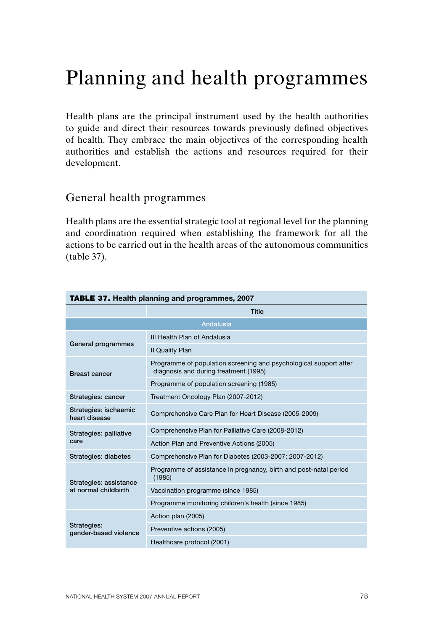# Planning and health programmes

Health plans are the principal instrument used by the health authorities to guide and direct their resources towards previously defined objectives of health. They embrace the main objectives of the corresponding health authorities and establish the actions and resources required for their development.

# General health programmes

Health plans are the essential strategic tool at regional level for the planning and coordination required when establishing the framework for all the actions to be carried out in the health areas of the autonomous communities (table 37).

| <b>TABLE 37. Health planning and programmes, 2007</b> |                                                                                                            |
|-------------------------------------------------------|------------------------------------------------------------------------------------------------------------|
|                                                       | <b>Title</b>                                                                                               |
|                                                       | <b>Andalusia</b>                                                                                           |
| General programmes                                    | III Health Plan of Andalusia                                                                               |
|                                                       | <b>II Quality Plan</b>                                                                                     |
| <b>Breast cancer</b>                                  | Programme of population screening and psychological support after<br>diagnosis and during treatment (1995) |
|                                                       | Programme of population screening (1985)                                                                   |
| Strategies: cancer                                    | Treatment Oncology Plan (2007-2012)                                                                        |
| Strategies: ischaemic<br>heart disease                | Comprehensive Care Plan for Heart Disease (2005-2009)                                                      |
| Strategies: palliative                                | Comprehensive Plan for Palliative Care (2008-2012)                                                         |
| care                                                  | Action Plan and Preventive Actions (2005)                                                                  |
| <b>Strategies: diabetes</b>                           | Comprehensive Plan for Diabetes (2003-2007; 2007-2012)                                                     |
| Strategies: assistance<br>at normal childbirth        | Programme of assistance in pregnancy, birth and post-natal period<br>(1985)                                |
|                                                       | Vaccination programme (since 1985)                                                                         |
|                                                       | Programme monitoring children's health (since 1985)                                                        |
| Strategies:<br>gender-based violence                  | Action plan (2005)                                                                                         |
|                                                       | Preventive actions (2005)                                                                                  |
|                                                       | Healthcare protocol (2001)                                                                                 |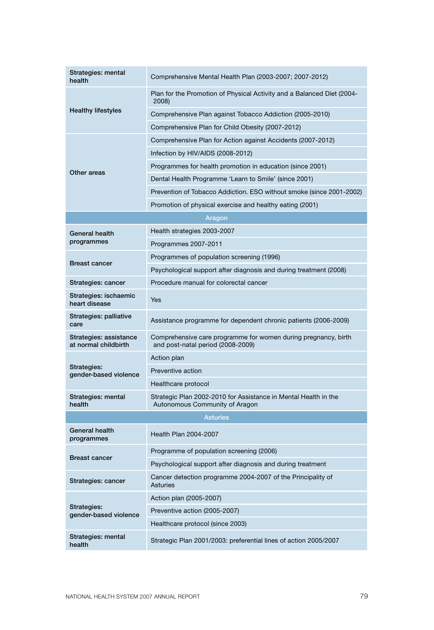| Strategies: mental<br>health                   | Comprehensive Mental Health Plan (2003-2007; 2007-2012)                                             |
|------------------------------------------------|-----------------------------------------------------------------------------------------------------|
| <b>Healthy lifestyles</b>                      | Plan for the Promotion of Physical Activity and a Balanced Diet (2004-<br>2008)                     |
|                                                | Comprehensive Plan against Tobacco Addiction (2005-2010)                                            |
|                                                | Comprehensive Plan for Child Obesity (2007-2012)                                                    |
|                                                | Comprehensive Plan for Action against Accidents (2007-2012)                                         |
|                                                | Infection by HIV/AIDS (2008-2012)                                                                   |
|                                                | Programmes for health promotion in education (since 2001)                                           |
| Other areas                                    | Dental Health Programme 'Learn to Smile' (since 2001)                                               |
|                                                | Prevention of Tobacco Addiction. ESO without smoke (since 2001-2002)                                |
|                                                | Promotion of physical exercise and healthy eating (2001)                                            |
|                                                | Aragon                                                                                              |
| General health                                 | Health strategies 2003-2007                                                                         |
| programmes                                     | Programmes 2007-2011                                                                                |
|                                                | Programmes of population screening (1996)                                                           |
| <b>Breast cancer</b>                           | Psychological support after diagnosis and during treatment (2008)                                   |
| Strategies: cancer                             | Procedure manual for colorectal cancer                                                              |
| Strategies: ischaemic<br>heart disease         | Yes                                                                                                 |
| Strategies: palliative<br>care                 | Assistance programme for dependent chronic patients (2006-2009)                                     |
| Strategies: assistance<br>at normal childbirth | Comprehensive care programme for women during pregnancy, birth<br>and post-natal period (2008-2009) |
|                                                | Action plan                                                                                         |
| Strategies:<br>gender-based violence           | Preventive action                                                                                   |
|                                                | Healthcare protocol                                                                                 |
| Strategies: mental<br>health                   | Strategic Plan 2002-2010 for Assistance in Mental Health in the<br>Autonomous Community of Aragon   |
|                                                | <b>Asturies</b>                                                                                     |
| General health<br>programmes                   | Health Plan 2004-2007                                                                               |
|                                                | Programme of population screening (2006)                                                            |
| <b>Breast cancer</b>                           | Psychological support after diagnosis and during treatment                                          |
| Strategies: cancer                             | Cancer detection programme 2004-2007 of the Principality of<br><b>Asturies</b>                      |
|                                                | Action plan (2005-2007)                                                                             |
| Strategies:<br>gender-based violence           | Preventive action (2005-2007)                                                                       |
|                                                | Healthcare protocol (since 2003)                                                                    |
| Strategies: mental<br>health                   | Strategic Plan 2001/2003: preferential lines of action 2005/2007                                    |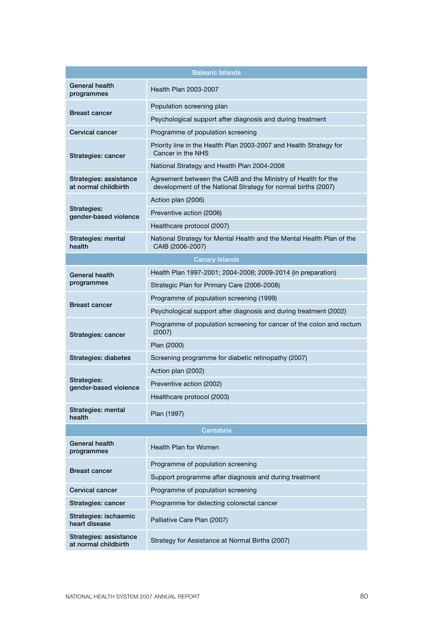|                                                | <b>Balearic Islands</b>                                                                                                        |
|------------------------------------------------|--------------------------------------------------------------------------------------------------------------------------------|
| General health<br>programmes                   | Health Plan 2003-2007                                                                                                          |
| <b>Breast cancer</b>                           | Population screening plan                                                                                                      |
|                                                | Psychological support after diagnosis and during treatment                                                                     |
| Cervical cancer                                | Programme of population screening                                                                                              |
| Strategies: cancer                             | Priority line in the Health Plan 2003-2007 and Health Strategy for<br>Cancer in the NHS                                        |
|                                                | National Strategy and Health Plan 2004-2008                                                                                    |
| Strategies: assistance<br>at normal childbirth | Agreement between the CAIB and the Ministry of Health for the<br>development of the National Strategy for normal births (2007) |
|                                                | Action plan (2006)                                                                                                             |
| Strategies:<br>gender-based violence           | Preventive action (2006)                                                                                                       |
|                                                | Healthcare protocol (2007)                                                                                                     |
| Strategies: mental<br>health                   | National Strategy for Mental Health and the Mental Health Plan of the<br>CAIB (2006-2007)                                      |
|                                                | Canary Islands                                                                                                                 |
| General health                                 | Health Plan 1997-2001; 2004-2008; 2009-2014 (in preparation)                                                                   |
| programmes                                     | Strategic Plan for Primary Care (2006-2008)                                                                                    |
| <b>Breast cancer</b>                           | Programme of population screening (1999)                                                                                       |
|                                                | Psychological support after diagnosis and during treatment (2002)                                                              |
| Strategies: cancer                             | Programme of population screening for cancer of the colon and rectum<br>(2007)                                                 |
|                                                | Plan (2000)                                                                                                                    |
| Strategies: diabetes                           | Screening programme for diabetic retinopathy (2007)                                                                            |
|                                                | Action plan (2002)                                                                                                             |
| Strategies:<br>gender-based violence           | Preventive action (2002)                                                                                                       |
|                                                | Healthcare protocol (2003)                                                                                                     |
| Strategies: mental<br>health                   | Plan (1997)                                                                                                                    |
| Cantabria                                      |                                                                                                                                |
| <b>General health</b><br>programmes            | Health Plan for Women                                                                                                          |
| <b>Breast cancer</b>                           | Programme of population screening                                                                                              |
|                                                | Support programme after diagnosis and during treatment                                                                         |
| Cervical cancer                                | Programme of population screening                                                                                              |
| Strategies: cancer                             | Programme for detecting colorectal cancer                                                                                      |
| Strategies: ischaemic<br>heart disease         | Palliative Care Plan (2007)                                                                                                    |
| Strategies: assistance<br>at normal childbirth | Strategy for Assistance at Normal Births (2007)                                                                                |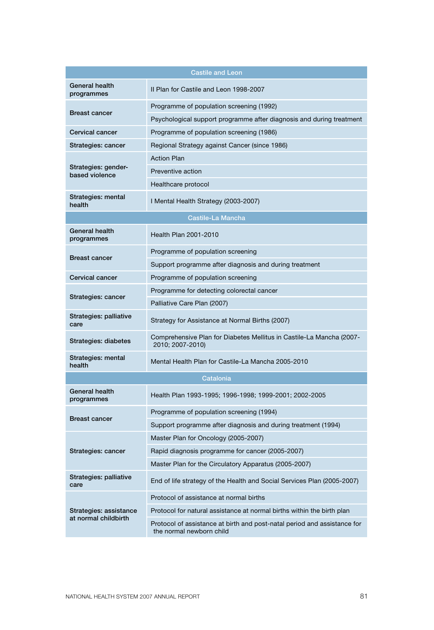|                                                | <b>Castile and Leon</b>                                                                              |
|------------------------------------------------|------------------------------------------------------------------------------------------------------|
|                                                |                                                                                                      |
| General health<br>programmes                   | II Plan for Castile and Leon 1998-2007                                                               |
| <b>Breast cancer</b>                           | Programme of population screening (1992)                                                             |
|                                                | Psychological support programme after diagnosis and during treatment                                 |
| Cervical cancer                                | Programme of population screening (1986)                                                             |
| Strategies: cancer                             | Regional Strategy against Cancer (since 1986)                                                        |
|                                                | <b>Action Plan</b>                                                                                   |
| Strategies: gender-<br>based violence          | Preventive action                                                                                    |
|                                                | Healthcare protocol                                                                                  |
| Strategies: mental<br>health                   | I Mental Health Strategy (2003-2007)                                                                 |
|                                                | Castile-La Mancha                                                                                    |
| General health<br>programmes                   | Health Plan 2001-2010                                                                                |
| <b>Breast cancer</b>                           | Programme of population screening                                                                    |
|                                                | Support programme after diagnosis and during treatment                                               |
| Cervical cancer                                | Programme of population screening                                                                    |
|                                                | Programme for detecting colorectal cancer                                                            |
| Strategies: cancer                             | Palliative Care Plan (2007)                                                                          |
| Strategies: palliative<br>care                 | Strategy for Assistance at Normal Births (2007)                                                      |
| Strategies: diabetes                           | Comprehensive Plan for Diabetes Mellitus in Castile-La Mancha (2007-<br>2010; 2007-2010)             |
| Strategies: mental<br>health                   | Mental Health Plan for Castile-La Mancha 2005-2010                                                   |
|                                                | Catalonia                                                                                            |
| General health<br>programmes                   | Health Plan 1993-1995; 1996-1998; 1999-2001; 2002-2005                                               |
| <b>Breast cancer</b>                           | Programme of population screening (1994)                                                             |
|                                                | Support programme after diagnosis and during treatment (1994)                                        |
|                                                | Master Plan for Oncology (2005-2007)                                                                 |
| Strategies: cancer                             | Rapid diagnosis programme for cancer (2005-2007)                                                     |
|                                                | Master Plan for the Circulatory Apparatus (2005-2007)                                                |
| Strategies: palliative<br>care                 | End of life strategy of the Health and Social Services Plan (2005-2007)                              |
|                                                | Protocol of assistance at normal births                                                              |
| Strategies: assistance<br>at normal childbirth | Protocol for natural assistance at normal births within the birth plan                               |
|                                                | Protocol of assistance at birth and post-natal period and assistance for<br>the normal newborn child |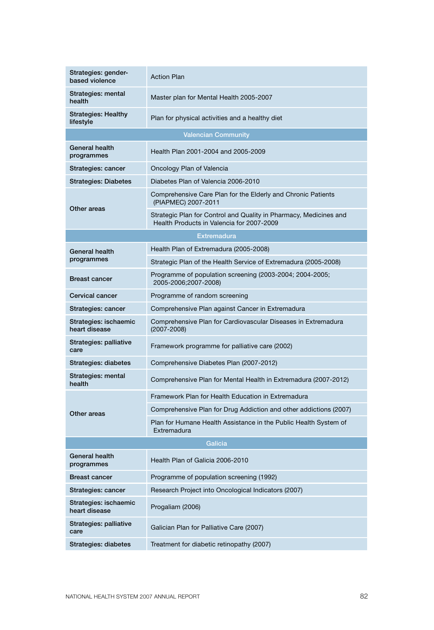| Strategies: gender-<br>based violence   | <b>Action Plan</b>                                                                                             |
|-----------------------------------------|----------------------------------------------------------------------------------------------------------------|
| Strategies: mental<br>health            | Master plan for Mental Health 2005-2007                                                                        |
| <b>Strategies: Healthy</b><br>lifestyle | Plan for physical activities and a healthy diet                                                                |
|                                         | <b>Valencian Community</b>                                                                                     |
| General health<br>programmes            | Health Plan 2001-2004 and 2005-2009                                                                            |
| Strategies: cancer                      | Oncology Plan of Valencia                                                                                      |
| <b>Strategies: Diabetes</b>             | Diabetes Plan of Valencia 2006-2010                                                                            |
|                                         | Comprehensive Care Plan for the Elderly and Chronic Patients<br>(PIAPMEC) 2007-2011                            |
| Other areas                             | Strategic Plan for Control and Quality in Pharmacy, Medicines and<br>Health Products in Valencia for 2007-2009 |
|                                         | <b>Extremadura</b>                                                                                             |
| General health                          | Health Plan of Extremadura (2005-2008)                                                                         |
| programmes                              | Strategic Plan of the Health Service of Extremadura (2005-2008)                                                |
| <b>Breast cancer</b>                    | Programme of population screening (2003-2004; 2004-2005;<br>2005-2006;2007-2008)                               |
| Cervical cancer                         | Programme of random screening                                                                                  |
| Strategies: cancer                      | Comprehensive Plan against Cancer in Extremadura                                                               |
| Strategies: ischaemic<br>heart disease  | Comprehensive Plan for Cardiovascular Diseases in Extremadura<br>$(2007 - 2008)$                               |
| Strategies: palliative<br>care          | Framework programme for palliative care (2002)                                                                 |
| Strategies: diabetes                    | Comprehensive Diabetes Plan (2007-2012)                                                                        |
| Strategies: mental<br>health            | Comprehensive Plan for Mental Health in Extremadura (2007-2012)                                                |
|                                         | Framework Plan for Health Education in Extremadura                                                             |
| Other areas                             | Comprehensive Plan for Drug Addiction and other addictions (2007)                                              |
|                                         | Plan for Humane Health Assistance in the Public Health System of<br>Extremadura                                |
|                                         | Galicia                                                                                                        |
| General health<br>programmes            | Health Plan of Galicia 2006-2010                                                                               |
| <b>Breast cancer</b>                    | Programme of population screening (1992)                                                                       |
| Strategies: cancer                      | Research Project into Oncological Indicators (2007)                                                            |
| Strategies: ischaemic<br>heart disease  | Progaliam (2006)                                                                                               |
| Strategies: palliative<br>care          | Galician Plan for Palliative Care (2007)                                                                       |
| Strategies: diabetes                    | Treatment for diabetic retinopathy (2007)                                                                      |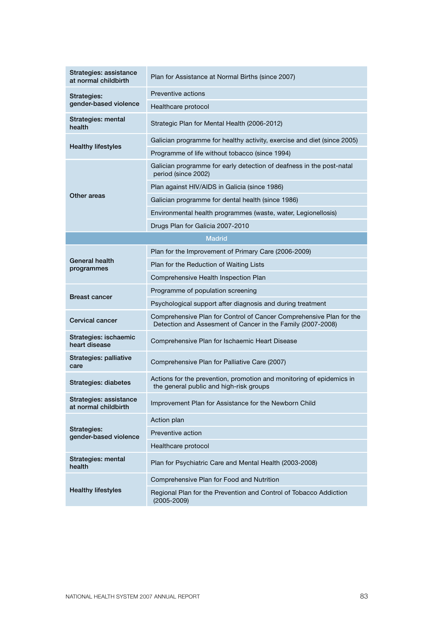| Strategies: assistance<br>at normal childbirth | Plan for Assistance at Normal Births (since 2007)                                                                                  |
|------------------------------------------------|------------------------------------------------------------------------------------------------------------------------------------|
| Strategies:<br>gender-based violence           | Preventive actions                                                                                                                 |
|                                                | Healthcare protocol                                                                                                                |
| Strategies: mental<br>health                   | Strategic Plan for Mental Health (2006-2012)                                                                                       |
| <b>Healthy lifestyles</b>                      | Galician programme for healthy activity, exercise and diet (since 2005)                                                            |
|                                                | Programme of life without tobacco (since 1994)                                                                                     |
|                                                | Galician programme for early detection of deafness in the post-natal<br>period (since 2002)                                        |
|                                                | Plan against HIV/AIDS in Galicia (since 1986)                                                                                      |
| Other areas                                    | Galician programme for dental health (since 1986)                                                                                  |
|                                                | Environmental health programmes (waste, water, Legionellosis)                                                                      |
|                                                | Drugs Plan for Galicia 2007-2010                                                                                                   |
|                                                | <b>Madrid</b>                                                                                                                      |
|                                                | Plan for the Improvement of Primary Care (2006-2009)                                                                               |
| General health<br>programmes                   | Plan for the Reduction of Waiting Lists                                                                                            |
|                                                | Comprehensive Health Inspection Plan                                                                                               |
| <b>Breast cancer</b>                           | Programme of population screening                                                                                                  |
|                                                | Psychological support after diagnosis and during treatment                                                                         |
| Cervical cancer                                | Comprehensive Plan for Control of Cancer Comprehensive Plan for the<br>Detection and Assesment of Cancer in the Family (2007-2008) |
| Strategies: ischaemic<br>heart disease         | Comprehensive Plan for Ischaemic Heart Disease                                                                                     |
| Strategies: palliative<br>care                 | Comprehensive Plan for Palliative Care (2007)                                                                                      |
| Strategies: diabetes                           | Actions for the prevention, promotion and monitoring of epidemics in<br>the general public and high-risk groups                    |
| Strategies: assistance<br>at normal childbirth | Improvement Plan for Assistance for the Newborn Child                                                                              |
|                                                | Action plan                                                                                                                        |
| Strategies:<br>gender-based violence           | Preventive action                                                                                                                  |
|                                                | Healthcare protocol                                                                                                                |
| Strategies: mental<br>health                   | Plan for Psychiatric Care and Mental Health (2003-2008)                                                                            |
| <b>Healthy lifestyles</b>                      | Comprehensive Plan for Food and Nutrition                                                                                          |
|                                                | Regional Plan for the Prevention and Control of Tobacco Addiction<br>$(2005 - 2009)$                                               |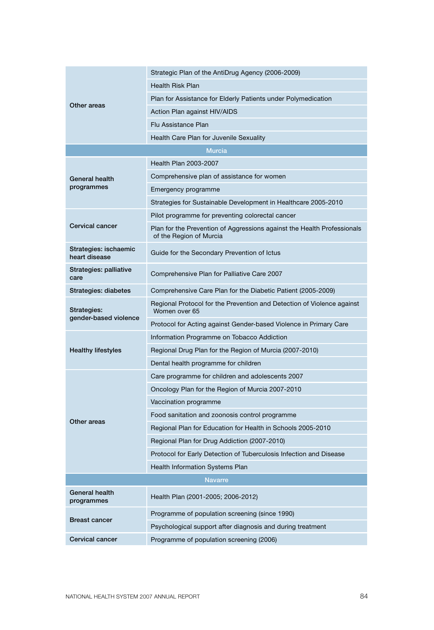| Other areas                            | Strategic Plan of the AntiDrug Agency (2006-2009)                                                  |
|----------------------------------------|----------------------------------------------------------------------------------------------------|
|                                        | <b>Health Risk Plan</b>                                                                            |
|                                        | Plan for Assistance for Elderly Patients under Polymedication                                      |
|                                        | Action Plan against HIV/AIDS                                                                       |
|                                        | Flu Assistance Plan                                                                                |
|                                        | Health Care Plan for Juvenile Sexuality                                                            |
|                                        | <b>Murcia</b>                                                                                      |
|                                        | Health Plan 2003-2007                                                                              |
| General health                         | Comprehensive plan of assistance for women                                                         |
| programmes                             | Emergency programme                                                                                |
|                                        | Strategies for Sustainable Development in Healthcare 2005-2010                                     |
|                                        | Pilot programme for preventing colorectal cancer                                                   |
| <b>Cervical cancer</b>                 | Plan for the Prevention of Aggressions against the Health Professionals<br>of the Region of Murcia |
| Strategies: ischaemic<br>heart disease | Guide for the Secondary Prevention of Ictus                                                        |
| Strategies: palliative<br>care         | Comprehensive Plan for Palliative Care 2007                                                        |
| Strategies: diabetes                   | Comprehensive Care Plan for the Diabetic Patient (2005-2009)                                       |
| Strategies:<br>gender-based violence   | Regional Protocol for the Prevention and Detection of Violence against<br>Women over 65            |
|                                        | Protocol for Acting against Gender-based Violence in Primary Care                                  |
|                                        | Information Programme on Tobacco Addiction                                                         |
| <b>Healthy lifestyles</b>              | Regional Drug Plan for the Region of Murcia (2007-2010)                                            |
|                                        | Dental health programme for children                                                               |
|                                        | Care programme for children and adolescents 2007                                                   |
|                                        | Oncology Plan for the Region of Murcia 2007-2010                                                   |
|                                        | Vaccination programme                                                                              |
| Other areas                            | Food sanitation and zoonosis control programme                                                     |
|                                        | Regional Plan for Education for Health in Schools 2005-2010                                        |
|                                        | Regional Plan for Drug Addiction (2007-2010)                                                       |
|                                        | Protocol for Early Detection of Tuberculosis Infection and Disease                                 |
|                                        | <b>Health Information Systems Plan</b>                                                             |
| <b>Navarre</b>                         |                                                                                                    |
| General health<br>programmes           | Health Plan (2001-2005; 2006-2012)                                                                 |
| <b>Breast cancer</b>                   | Programme of population screening (since 1990)                                                     |
|                                        | Psychological support after diagnosis and during treatment                                         |
| Cervical cancer                        | Programme of population screening (2006)                                                           |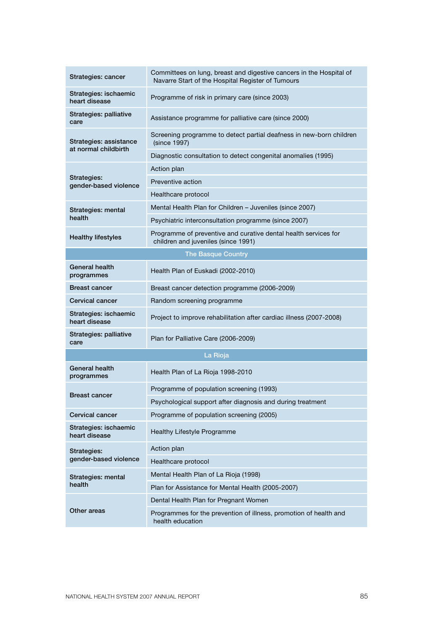| Strategies: cancer                             | Committees on lung, breast and digestive cancers in the Hospital of<br>Navarre Start of the Hospital Register of Tumours |
|------------------------------------------------|--------------------------------------------------------------------------------------------------------------------------|
| Strategies: ischaemic<br>heart disease         | Programme of risk in primary care (since 2003)                                                                           |
| Strategies: palliative<br>care                 | Assistance programme for palliative care (since 2000)                                                                    |
| Strategies: assistance<br>at normal childbirth | Screening programme to detect partial deafness in new-born children<br>(since 1997)                                      |
|                                                | Diagnostic consultation to detect congenital anomalies (1995)                                                            |
|                                                | Action plan                                                                                                              |
| Strategies:<br>gender-based violence           | Preventive action                                                                                                        |
|                                                | Healthcare protocol                                                                                                      |
| Strategies: mental                             | Mental Health Plan for Children - Juveniles (since 2007)                                                                 |
| health                                         | Psychiatric interconsultation programme (since 2007)                                                                     |
| <b>Healthy lifestyles</b>                      | Programme of preventive and curative dental health services for<br>children and juveniles (since 1991)                   |
|                                                | <b>The Basque Country</b>                                                                                                |
| <b>General health</b><br>programmes            | Health Plan of Euskadi (2002-2010)                                                                                       |
| <b>Breast cancer</b>                           | Breast cancer detection programme (2006-2009)                                                                            |
| Cervical cancer                                | Random screening programme                                                                                               |
| Strategies: ischaemic<br>heart disease         | Project to improve rehabilitation after cardiac illness (2007-2008)                                                      |
| Strategies: palliative<br>care                 | Plan for Palliative Care (2006-2009)                                                                                     |
|                                                | La Rioja                                                                                                                 |
| General health<br>programmes                   | Health Plan of La Rioja 1998-2010                                                                                        |
|                                                | Programme of population screening (1993)                                                                                 |
| <b>Breast cancer</b>                           | Psychological support after diagnosis and during treatment                                                               |
| Cervical cancer                                | Programme of population screening (2005)                                                                                 |
| Strategies: ischaemic<br>heart disease         | Healthy Lifestyle Programme                                                                                              |
| Strategies:                                    | Action plan                                                                                                              |
| gender-based violence                          | Healthcare protocol                                                                                                      |
| Strategies: mental<br>health                   | Mental Health Plan of La Rioja (1998)                                                                                    |
|                                                | Plan for Assistance for Mental Health (2005-2007)                                                                        |
| Other areas                                    | Dental Health Plan for Pregnant Women                                                                                    |
|                                                | Programmes for the prevention of illness, promotion of health and<br>health education                                    |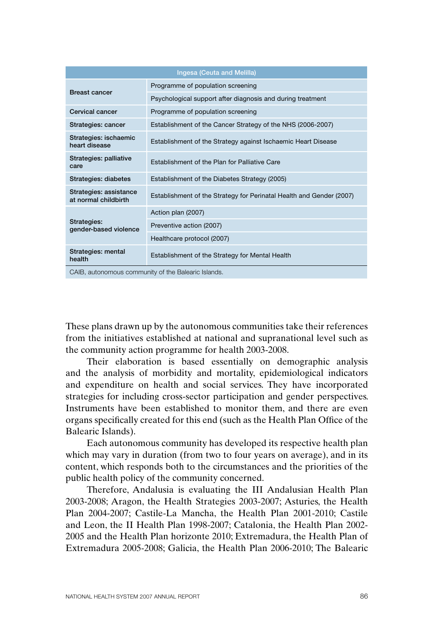| Ingesa (Ceuta and Melilla)                          |                                                                      |
|-----------------------------------------------------|----------------------------------------------------------------------|
| <b>Breast cancer</b>                                | Programme of population screening                                    |
|                                                     | Psychological support after diagnosis and during treatment           |
| Cervical cancer                                     | Programme of population screening                                    |
| Strategies: cancer                                  | Establishment of the Cancer Strategy of the NHS (2006-2007)          |
| Strategies: ischaemic<br>heart disease              | Establishment of the Strategy against Ischaemic Heart Disease        |
| Strategies: palliative<br>care                      | Establishment of the Plan for Palliative Care                        |
| Strategies: diabetes                                | Establishment of the Diabetes Strategy (2005)                        |
| Strategies: assistance<br>at normal childbirth      | Establishment of the Strategy for Perinatal Health and Gender (2007) |
| Strategies:<br>gender-based violence                | Action plan (2007)                                                   |
|                                                     | Preventive action (2007)                                             |
|                                                     | Healthcare protocol (2007)                                           |
| Strategies: mental<br>health                        | Establishment of the Strategy for Mental Health                      |
| CAIB, autonomous community of the Balearic Islands. |                                                                      |

These plans drawn up by the autonomous communities take their references from the initiatives established at national and supranational level such as the community action programme for health 2003-2008.

Their elaboration is based essentially on demographic analysis and the analysis of morbidity and mortality, epidemiological indicators and expenditure on health and social services. They have incorporated strategies for including cross-sector participation and gender perspectives. Instruments have been established to monitor them, and there are even organs specifically created for this end (such as the Health Plan Office of the Balearic Islands).

Each autonomous community has developed its respective health plan which may vary in duration (from two to four years on average), and in its content, which responds both to the circumstances and the priorities of the public health policy of the community concerned.

Therefore, Andalusia is evaluating the III Andalusian Health Plan 2003-2008; Aragon, the Health Strategies 2003-2007; Asturies, the Health Plan 2004-2007; Castile-La Mancha, the Health Plan 2001-2010; Castile and Leon, the II Health Plan 1998-2007; Catalonia, the Health Plan 2002- 2005 and the Health Plan horizonte 2010; Extremadura, the Health Plan of Extremadura 2005-2008; Galicia, the Health Plan 2006-2010; The Balearic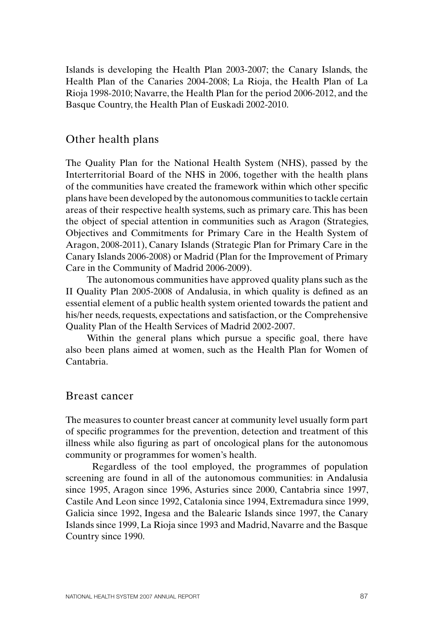Islands is developing the Health Plan 2003-2007; the Canary Islands, the Health Plan of the Canaries 2004-2008; La Rioja, the Health Plan of La Rioja 1998-2010; Navarre, the Health Plan for the period 2006-2012, and the Basque Country, the Health Plan of Euskadi 2002-2010.

## Other health plans

The Quality Plan for the National Health System (NHS), passed by the Interterritorial Board of the NHS in 2006, together with the health plans of the communities have created the framework within which other specific plans have been developed by the autonomous communities to tackle certain areas of their respective health systems, such as primary care. This has been the object of special attention in communities such as Aragon (Strategies, Objectives and Commitments for Primary Care in the Health System of Aragon, 2008-2011), Canary Islands (Strategic Plan for Primary Care in the Canary Islands 2006-2008) or Madrid (Plan for the Improvement of Primary Care in the Community of Madrid 2006-2009).

The autonomous communities have approved quality plans such as the II Quality Plan 2005-2008 of Andalusia, in which quality is defined as an essential element of a public health system oriented towards the patient and his/her needs, requests, expectations and satisfaction, or the Comprehensive Quality Plan of the Health Services of Madrid 2002-2007.

Within the general plans which pursue a specific goal, there have also been plans aimed at women, such as the Health Plan for Women of Cantabria.

#### Breast cancer

The measures to counter breast cancer at community level usually form part of specific programmes for the prevention, detection and treatment of this illness while also figuring as part of oncological plans for the autonomous community or programmes for women's health.

Regardless of the tool employed, the programmes of population screening are found in all of the autonomous communities: in Andalusia since 1995, Aragon since 1996, Asturies since 2000, Cantabria since 1997, Castile And Leon since 1992, Catalonia since 1994, Extremadura since 1999, Galicia since 1992, Ingesa and the Balearic Islands since 1997, the Canary Islands since 1999, La Rioja since 1993 and Madrid, Navarre and the Basque Country since 1990.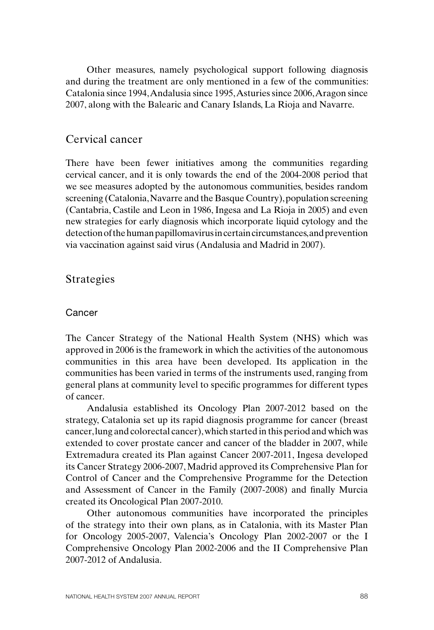Other measures, namely psychological support following diagnosis and during the treatment are only mentioned in a few of the communities: Catalonia since 1994, Andalusia since 1995, Asturies since 2006, Aragon since 2007, along with the Balearic and Canary Islands, La Rioja and Navarre.

## Cervical cancer

There have been fewer initiatives among the communities regarding cervical cancer, and it is only towards the end of the 2004-2008 period that we see measures adopted by the autonomous communities, besides random screening (Catalonia, Navarre and the Basque Country), population screening (Cantabria, Castile and Leon in 1986, Ingesa and La Rioja in 2005) and even new strategies for early diagnosis which incorporate liquid cytology and the detection of the human papillomavirus in certain circumstances, and prevention via vaccination against said virus (Andalusia and Madrid in 2007).

## Strategies

#### Cancer

The Cancer Strategy of the National Health System (NHS) which was approved in 2006 is the framework in which the activities of the autonomous communities in this area have been developed. Its application in the communities has been varied in terms of the instruments used, ranging from general plans at community level to specific programmes for different types of cancer.

Andalusia established its Oncology Plan 2007-2012 based on the strategy, Catalonia set up its rapid diagnosis programme for cancer (breast cancer, lung and colorectal cancer), which started in this period and which was extended to cover prostate cancer and cancer of the bladder in 2007, while Extremadura created its Plan against Cancer 2007-2011, Ingesa developed its Cancer Strategy 2006-2007, Madrid approved its Comprehensive Plan for Control of Cancer and the Comprehensive Programme for the Detection and Assessment of Cancer in the Family (2007-2008) and finally Murcia created its Oncological Plan 2007-2010.

Other autonomous communities have incorporated the principles of the strategy into their own plans, as in Catalonia, with its Master Plan for Oncology 2005-2007, Valencia's Oncology Plan 2002-2007 or the I Comprehensive Oncology Plan 2002-2006 and the II Comprehensive Plan 2007-2012 of Andalusia.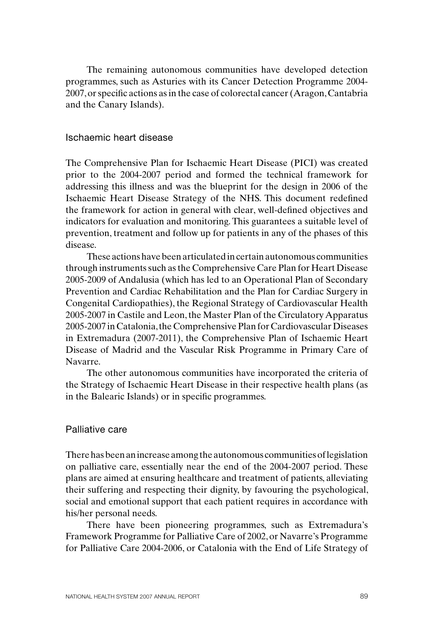The remaining autonomous communities have developed detection programmes, such as Asturies with its Cancer Detection Programme 2004-2007, or specific actions as in the case of colorectal cancer (Aragon, Cantabria and the Canary Islands).

#### Ischaemic heart disease

The Comprehensive Plan for Ischaemic Heart Disease (PICI) was created prior to the 2004-2007 period and formed the technical framework for addressing this illness and was the blueprint for the design in 2006 of the Ischaemic Heart Disease Strategy of the NHS. This document redefined the framework for action in general with clear, well-defined objectives and indicators for evaluation and monitoring. This guarantees a suitable level of prevention, treatment and follow up for patients in any of the phases of this disease.

These actions have been articulated in certain autonomous communities through instruments such as the Comprehensive Care Plan for Heart Disease 2005-2009 of Andalusia (which has led to an Operational Plan of Secondary Prevention and Cardiac Rehabilitation and the Plan for Cardiac Surgery in Congenital Cardiopathies), the Regional Strategy of Cardiovascular Health 2005-2007 in Castile and Leon, the Master Plan of the Circulatory Apparatus 2005-2007 in Catalonia,the Comprehensive Plan for Cardiovascular Diseases in Extremadura (2007-2011), the Comprehensive Plan of Ischaemic Heart Disease of Madrid and the Vascular Risk Programme in Primary Care of Navarre.

The other autonomous communities have incorporated the criteria of the Strategy of Ischaemic Heart Disease in their respective health plans (as in the Balearic Islands) or in specific programmes.

#### Palliative care

There has been an increase among the autonomous communities of legislation on palliative care, essentially near the end of the 2004-2007 period. These plans are aimed at ensuring healthcare and treatment of patients, alleviating their suffering and respecting their dignity, by favouring the psychological, social and emotional support that each patient requires in accordance with his/her personal needs.

There have been pioneering programmes, such as Extremadura's Framework Programme for Palliative Care of 2002, or Navarre's Programme for Palliative Care 2004-2006, or Catalonia with the End of Life Strategy of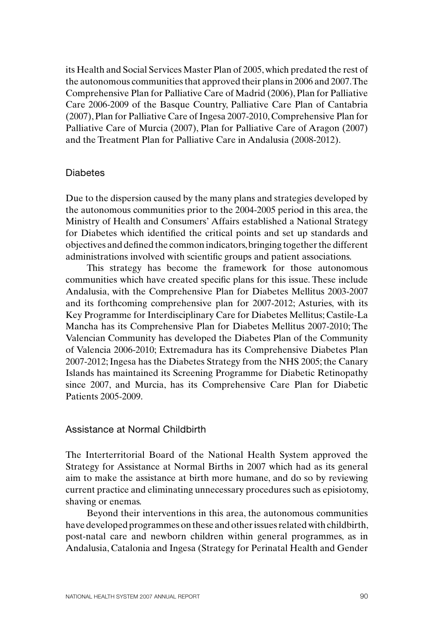its Health and Social Services Master Plan of 2005, which predated the rest of the autonomous communities that approved their plans in 2006 and 2007. The Comprehensive Plan for Palliative Care of Madrid (2006), Plan for Palliative Care 2006-2009 of the Basque Country, Palliative Care Plan of Cantabria (2007), Plan for Palliative Care of Ingesa 2007-2010, Comprehensive Plan for Palliative Care of Murcia (2007), Plan for Palliative Care of Aragon (2007) and the Treatment Plan for Palliative Care in Andalusia (2008-2012).

#### **Diabetes**

Due to the dispersion caused by the many plans and strategies developed by the autonomous communities prior to the 2004-2005 period in this area, the Ministry of Health and Consumers' Affairs established a National Strategy for Diabetes which identified the critical points and set up standards and objectives and defined the common indicators, bringing together the different administrations involved with scientific groups and patient associations.

This strategy has become the framework for those autonomous communities which have created specific plans for this issue. These include Andalusia, with the Comprehensive Plan for Diabetes Mellitus 2003-2007 and its forthcoming comprehensive plan for 2007-2012; Asturies, with its Key Programme for Interdisciplinary Care for Diabetes Mellitus; Castile-La Mancha has its Comprehensive Plan for Diabetes Mellitus 2007-2010; The Valencian Community has developed the Diabetes Plan of the Community of Valencia 2006-2010; Extremadura has its Comprehensive Diabetes Plan 2007-2012;Ingesa has the Diabetes Strategy from the NHS 2005; the Canary Islands has maintained its Screening Programme for Diabetic Retinopathy since 2007, and Murcia, has its Comprehensive Care Plan for Diabetic Patients 2005-2009.

#### Assistance at Normal Childbirth

The Interterritorial Board of the National Health System approved the Strategy for Assistance at Normal Births in 2007 which had as its general aim to make the assistance at birth more humane, and do so by reviewing current practice and eliminating unnecessary procedures such as episiotomy, shaving or enemas.

Beyond their interventions in this area, the autonomous communities have developed programmes on these and other issues related with childbirth, post-natal care and newborn children within general programmes, as in Andalusia, Catalonia and Ingesa (Strategy for Perinatal Health and Gender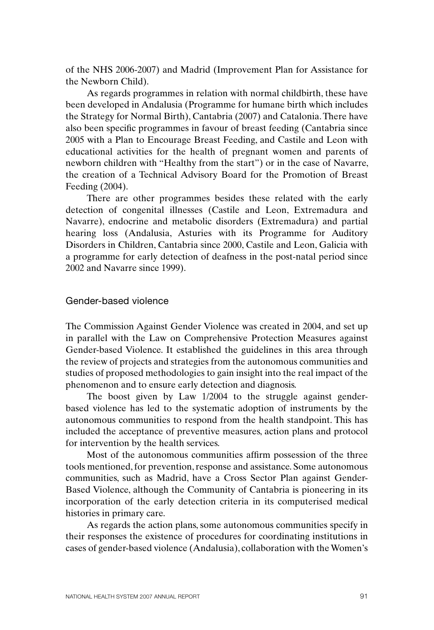of the NHS 2006-2007) and Madrid (Improvement Plan for Assistance for the Newborn Child).

As regards programmes in relation with normal childbirth, these have been developed in Andalusia (Programme for humane birth which includes the Strategy for Normal Birth), Cantabria (2007) and Catalonia. There have also been specific programmes in favour of breast feeding (Cantabria since 2005 with a Plan to Encourage Breast Feeding, and Castile and Leon with educational activities for the health of pregnant women and parents of newborn children with "Healthy from the start") or in the case of Navarre, the creation of a Technical Advisory Board for the Promotion of Breast Feeding (2004).

There are other programmes besides these related with the early detection of congenital illnesses (Castile and Leon, Extremadura and Navarre), endocrine and metabolic disorders (Extremadura) and partial hearing loss (Andalusia, Asturies with its Programme for Auditory Disorders in Children, Cantabria since 2000, Castile and Leon, Galicia with a programme for early detection of deafness in the post-natal period since 2002 and Navarre since 1999).

## Gender-based violence

The Commission Against Gender Violence was created in 2004, and set up in parallel with the Law on Comprehensive Protection Measures against Gender-based Violence. It established the guidelines in this area through the review of projects and strategies from the autonomous communities and studies of proposed methodologies to gain insight into the real impact of the phenomenon and to ensure early detection and diagnosis.

The boost given by Law 1/2004 to the struggle against genderbased violence has led to the systematic adoption of instruments by the autonomous communities to respond from the health standpoint. This has included the acceptance of preventive measures, action plans and protocol for intervention by the health services.

Most of the autonomous communities affirm possession of the three tools mentioned, for prevention, response and assistance. Some autonomous communities, such as Madrid, have a Cross Sector Plan against Gender-Based Violence, although the Community of Cantabria is pioneering in its incorporation of the early detection criteria in its computerised medical histories in primary care.

As regards the action plans, some autonomous communities specify in their responses the existence of procedures for coordinating institutions in cases of gender-based violence (Andalusia), collaboration with the Women's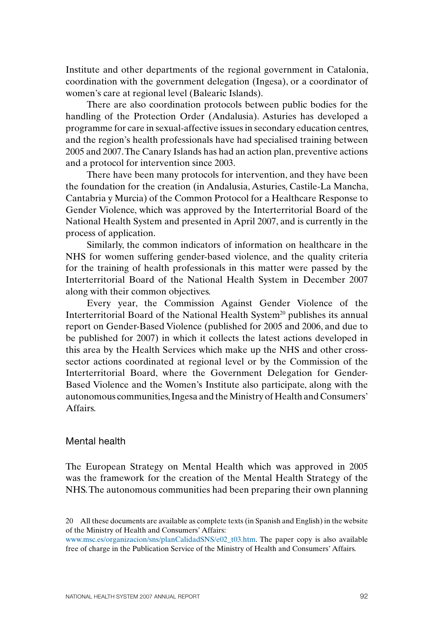Institute and other departments of the regional government in Catalonia, coordination with the government delegation (Ingesa), or a coordinator of women's care at regional level (Balearic Islands).

There are also coordination protocols between public bodies for the handling of the Protection Order (Andalusia). Asturies has developed a programme for care in sexual-affective issues in secondary education centres, and the region's health professionals have had specialised training between 2005 and 2007. The Canary Islands has had an action plan, preventive actions and a protocol for intervention since 2003.

There have been many protocols for intervention, and they have been the foundation for the creation (in Andalusia, Asturies, Castile-La Mancha, Cantabria y Murcia) of the Common Protocol for a Healthcare Response to Gender Violence, which was approved by the Interterritorial Board of the National Health System and presented in April 2007, and is currently in the process of application.

Similarly, the common indicators of information on healthcare in the NHS for women suffering gender-based violence, and the quality criteria for the training of health professionals in this matter were passed by the Interterritorial Board of the National Health System in December 2007 along with their common objectives.

Every year, the Commission Against Gender Violence of the Interterritorial Board of the National Health System<sup>20</sup> publishes its annual report on Gender-Based Violence (published for 2005 and 2006, and due to be published for 2007) in which it collects the latest actions developed in this area by the Health Services which make up the NHS and other crosssector actions coordinated at regional level or by the Commission of the Interterritorial Board, where the Government Delegation for Gender-Based Violence and the Women's Institute also participate, along with the autonomous communities, Ingesa and the Ministry of Health and Consumers' Affairs.

#### Mental health

The European Strategy on Mental Health which was approved in 2005 was the framework for the creation of the Mental Health Strategy of the NHS. The autonomous communities had been preparing their own planning

<sup>20</sup> All these documents are available as complete texts (in Spanish and English) in the website of the Ministry of Health and Consumers' Affairs:

www.msc.es/organizacion/sns/planCalidadSNS/e02\_t03.htm. The paper copy is also available free of charge in the Publication Service of the Ministry of Health and Consumers' Affairs.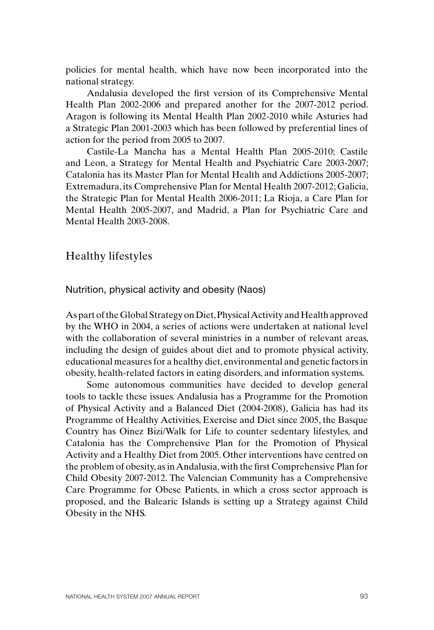policies for mental health, which have now been incorporated into the national strategy.

Andalusia developed the first version of its Comprehensive Mental Health Plan 2002-2006 and prepared another for the 2007-2012 period. Aragon is following its Mental Health Plan 2002-2010 while Asturies had a Strategic Plan 2001-2003 which has been followed by preferential lines of action for the period from 2005 to 2007.

Castile-La Mancha has a Mental Health Plan 2005-2010; Castile and Leon, a Strategy for Mental Health and Psychiatric Care 2003-2007; Catalonia has its Master Plan for Mental Health and Addictions 2005-2007; Extremadura, its Comprehensive Plan for Mental Health 2007-2012; Galicia, the Strategic Plan for Mental Health 2006-2011; La Rioja, a Care Plan for Mental Health 2005-2007, and Madrid, a Plan for Psychiatric Care and Mental Health 2003-2008.

Healthy lifestyles

Nutrition, physical activity and obesity (Naos)

As part of the Global Strategy on Diet, Physical Activity and Health approved by the WHO in 2004, a series of actions were undertaken at national level with the collaboration of several ministries in a number of relevant areas, including the design of guides about diet and to promote physical activity, educational measures for a healthy diet, environmental and genetic factors in obesity, health-related factors in eating disorders, and information systems.

Some autonomous communities have decided to develop general tools to tackle these issues. Andalusia has a Programme for the Promotion of Physical Activity and a Balanced Diet (2004-2008), Galicia has had its Programme of Healthy Activities, Exercise and Diet since 2005, the Basque Country has Oinez Bizi/Walk for Life to counter sedentary lifestyles, and Catalonia has the Comprehensive Plan for the Promotion of Physical Activity and a Healthy Diet from 2005. Other interventions have centred on the problem of obesity, as in Andalusia, with the first Comprehensive Plan for Child Obesity 2007-2012. The Valencian Community has a Comprehensive Care Programme for Obese Patients, in which a cross sector approach is proposed, and the Balearic Islands is setting up a Strategy against Child Obesity in the NHS.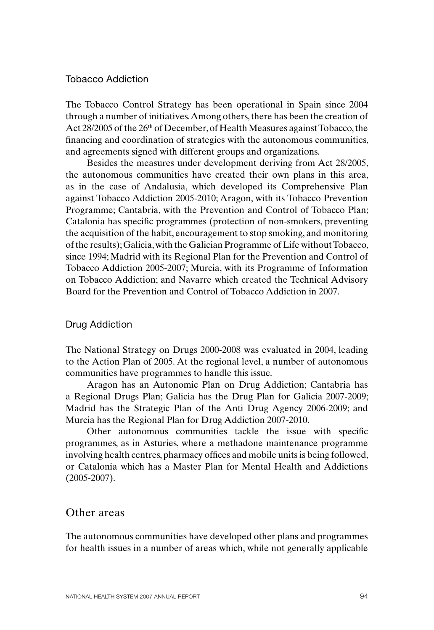#### Tobacco Addiction

The Tobacco Control Strategy has been operational in Spain since 2004 through a number of initiatives. Among others, there has been the creation of Act 28/2005 of the 26<sup>th</sup> of December, of Health Measures against Tobacco, the financing and coordination of strategies with the autonomous communities, and agreements signed with different groups and organizations.

Besides the measures under development deriving from Act 28/2005, the autonomous communities have created their own plans in this area, as in the case of Andalusia, which developed its Comprehensive Plan against Tobacco Addiction 2005-2010; Aragon, with its Tobacco Prevention Programme; Cantabria, with the Prevention and Control of Tobacco Plan; Catalonia has specific programmes (protection of non-smokers, preventing the acquisition of the habit, encouragement to stop smoking, and monitoring of the results); Galicia, with the Galician Programme of Life without Tobacco, since 1994; Madrid with its Regional Plan for the Prevention and Control of Tobacco Addiction 2005-2007; Murcia, with its Programme of Information on Tobacco Addiction; and Navarre which created the Technical Advisory Board for the Prevention and Control of Tobacco Addiction in 2007.

#### Drug Addiction

The National Strategy on Drugs 2000-2008 was evaluated in 2004, leading to the Action Plan of 2005. At the regional level, a number of autonomous communities have programmes to handle this issue.

Aragon has an Autonomic Plan on Drug Addiction; Cantabria has a Regional Drugs Plan; Galicia has the Drug Plan for Galicia 2007-2009; Madrid has the Strategic Plan of the Anti Drug Agency 2006-2009; and Murcia has the Regional Plan for Drug Addiction 2007-2010.

Other autonomous communities tackle the issue with specific programmes, as in Asturies, where a methadone maintenance programme involving health centres, pharmacy offices and mobile units is being followed, or Catalonia which has a Master Plan for Mental Health and Addictions (2005-2007).

## Other areas

The autonomous communities have developed other plans and programmes for health issues in a number of areas which, while not generally applicable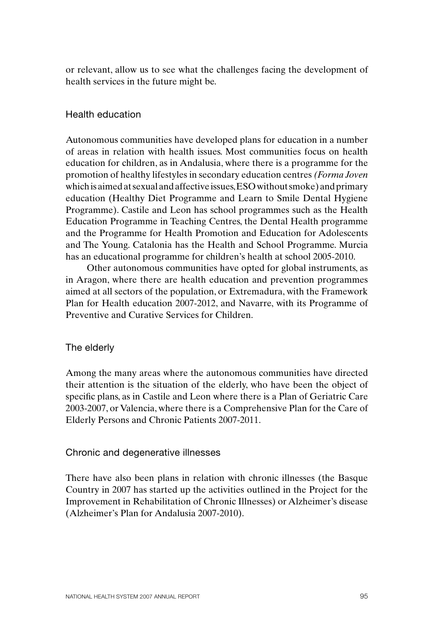or relevant, allow us to see what the challenges facing the development of health services in the future might be.

## Health education

Autonomous communities have developed plans for education in a number of areas in relation with health issues. Most communities focus on health education for children, as in Andalusia, where there is a programme for the promotion of healthy lifestyles in secondary education centres *(Forma Joven* which is aimed at sexual and affective issues, ESO without smoke) and primary education (Healthy Diet Programme and Learn to Smile Dental Hygiene Programme). Castile and Leon has school programmes such as the Health Education Programme in Teaching Centres, the Dental Health programme and the Programme for Health Promotion and Education for Adolescents and The Young. Catalonia has the Health and School Programme. Murcia has an educational programme for children's health at school 2005-2010.

Other autonomous communities have opted for global instruments, as in Aragon, where there are health education and prevention programmes aimed at all sectors of the population, or Extremadura, with the Framework Plan for Health education 2007-2012, and Navarre, with its Programme of Preventive and Curative Services for Children.

#### The elderly

Among the many areas where the autonomous communities have directed their attention is the situation of the elderly, who have been the object of specific plans, as in Castile and Leon where there is a Plan of Geriatric Care 2003-2007, or Valencia, where there is a Comprehensive Plan for the Care of Elderly Persons and Chronic Patients 2007-2011.

#### Chronic and degenerative illnesses

There have also been plans in relation with chronic illnesses (the Basque Country in 2007 has started up the activities outlined in the Project for the Improvement in Rehabilitation of Chronic Illnesses) or Alzheimer's disease (Alzheimer's Plan for Andalusia 2007-2010).